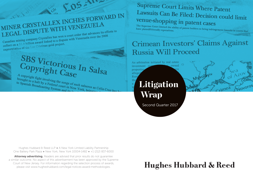# MINER CRYSTALLEX INCHES FORWARD IN MINER CRYSTALLEX INCHESTING MINER CRYSTALLEX INCHESTING

**SOSAIN** 

Canadian mining company Crystallex has won a court order that advances its efforts to<br>Canadian mining company Crystallex has won a court order that advances its efforts to Canadian mining company Crystallex has won a court order that advances he<br>collect on a \$1.4 billion award linked to a dispute with Venezuela over the 2008<br>collect on a \$1.4 billion award linked to a dispute Canadian hands 1.4 billion award linked to a si-<br>collect on a \$1.4 billion award linked to a si-<br>expromiation of the Las Cristinas gold project.

SBS Victorious In Salsa Copyright Case

A copyright fight involving the songs of such salseros as Celia Cruz has A copyright fight involving the songs of such salseros as<br>to Spanish Broadcasting System and its La Cork, bringing to Spanish Broadcasting System and its a

Supreme Court Limits Where Patent Lawsuits Can Be Filed: Decision could limit Venue-shopping in patent cases

The Supreme Court limited the ability of patent holders to bring infringement lawsuits in courts that<br>have plaintiff-friendly reputations.

### **Crimean Investors' Claims Against Russia Will Proceed**

Novoros

rimea

An arbitration initiated by real estate owned investment c

allege **Litigation** Wrap

propertion

Rus

Second Quarter 2017

Hughes Hubbard & Reed LLP ● A New York Limited Liability Partnership One Battery Park Plaza ● New York, New York 10004-1482 ● +1 (212) 837-6000

Attorney advertising. Readers are advised that prior results do not quarantee a similar outcome. No aspect of this advertisement has been approved by the Supreme Court of New Jersey. For information regarding the selection process of awards, please visit www.hugheshubbard.com/legal-notices-award-methodologies.

### **Hughes Hubbard & Reed**